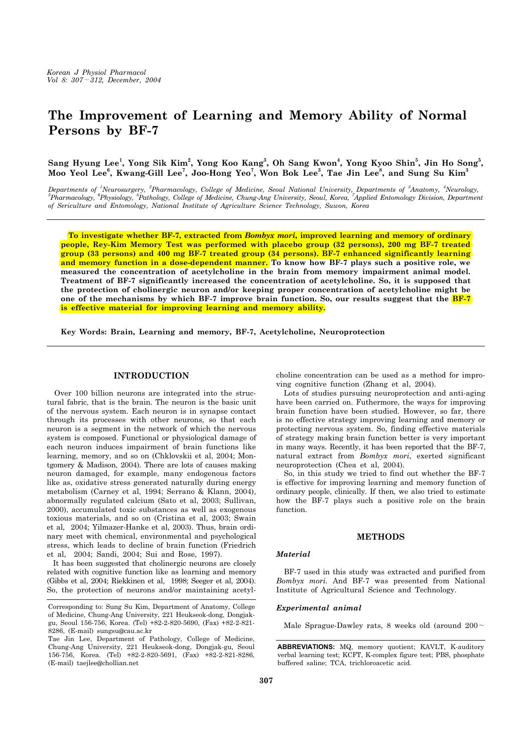# **The Improvement of Learning and Memory Ability of Normal Persons by BF-7**

Sang Hyung Lee<sup>1</sup>, Yong Sik Kim<sup>2</sup>, Yong Koo Kang<sup>3</sup>, Oh Sang Kwon<sup>4</sup>, Yong Kyoo Shin<sup>5</sup>, Jin Ho Song<sup>5</sup>, **Moo Yeol Lee<sup>6</sup> , Kwang-Gill Lee<sup>7</sup> , Joo-Hong Yeo7 , Won Bok Lee3 , Tae Jin Lee8 , and Sung Su Kim3**

*Departments of <sup>1</sup> Neurosurgery, <sup>2</sup> Pharmacology, College of Medicine, Seoul National University, Departments of <sup>3</sup> Anatomy, <sup>4</sup> Neurology, 5 Pharmacology, <sup>6</sup> Physiology, <sup>8</sup> Pathology, College of Medicine, Chung-Ang University, Seoul, Korea, <sup>7</sup> Applied Entomology Division, Department of Sericulture and Entomology, National Institute of Agriculture Science Technology, Suwon, Korea*

 **To investigate whether BF-7, extracted from** *Bombyx mori***, improved learning and memory of ordinary people, Rey-Kim Memory Test was performed with placebo group (32 persons), 200 mg BF-7 treated group (33 persons) and 400 mg BF-7 treated group (34 persons). BF-7 enhanced significantly learning and memory function in a dose-dependent manner. To know how BF-7 plays such a positive role, we measured the concentration of acetylcholine in the brain from memory impairment animal model. Treatment of BF-7 significantly increased the concentration of acetylcholine. So, it is supposed that the protection of cholinergic neuron and/or keeping proper concentration of acetylcholine might be**  one of the mechanisms by which BF-7 improve brain function. So, our results suggest that the **BF-7 is effective material for improving learning and memory ability.** 

**Key Words: Brain, Learning and memory, BF-7, Acetylcholine, Neuroprotection**

# **INTRODUCTION**

 Over 100 billion neurons are integrated into the structural fabric, that is the brain. The neuron is the basic unit of the nervous system. Each neuron is in synapse contact through its processes with other neurons, so that each neuron is a segment in the network of which the nervous system is composed. Functional or physiological damage of each neuron induces impairment of brain functions like learning, memory, and so on (Chklovskii et al, 2004; Montgomery & Madison, 2004). There are lots of causes making neuron damaged, for example, many endogenous factors like as, oxidative stress generated naturally during energy metabolism (Carney et al, 1994; Serrano & Klann, 2004), abnormally regulated calcium (Sato et al, 2003; Sullivan, 2000), accumulated toxic substances as well as exogenous toxious materials, and so on (Cristina et al, 2003; Swain et al, 2004; Yilmazer-Hanke et al, 2003). Thus, brain ordinary meet with chemical, environmental and psychological stress, which leads to decline of brain function (Friedrich et al, 2004; Sandi, 2004; Sui and Rose, 1997).

 It has been suggested that cholinergic neurons are closely related with cognitive function like as learning and memory (Gibbs et al, 2004; Riekkinen et al, 1998; Seeger et al, 2004). So, the protection of neurons and/or maintaining acetylcholine concentration can be used as a method for improving cognitive function (Zhang et al, 2004).

 Lots of studies pursuing neuroprotection and anti-aging have been carried on. Futhermore, the ways for improving brain function have been studied. However, so far, there is no effective strategy improving learning and memory or protecting nervous system. So, finding effective materials of strategy making brain function better is very important in many ways. Recently, it has been reported that the BF-7, natural extract from *Bombyx mori*, exerted significant neuroprotection (Chea et al, 2004).

 So, in this study we tried to find out whether the BF-7 is effective for improving learning and memory function of ordinary people, clinically. If then, we also tried to estimate how the BF-7 plays such a positive role on the brain function.

#### **METHODS**

#### *Material*

 BF-7 used in this study was extracted and purified from *Bombyx mori.* And BF-7 was presented from National Institute of Agricultural Science and Technology.

# *Experimental animal*

Male Sprague-Dawley rats, 8 weeks old (around 200∼

Corresponding to: Sung Su Kim, Department of Anatomy, College of Medicine, Chung-Ang University, 221 Heukseok-dong, Dongjakgu, Seoul 156-756, Korea. (Tel) +82-2-820-5690, (Fax) +82-2-821- 8286, (E-mail) sungsu@cau.ac.kr

Tae Jin Lee, Department of Pathology, College of Medicine, Chung-Ang University, 221 Heukseok-dong, Dongjak-gu, Seoul 156-756, Korea. (Tel) +82-2-820-5691, (Fax) +82-2-821-8286, (E-mail) taejlee@chollian.net

**ABBREVIATIONS:** MQ, memory quotient; KAVLT, K-auditory verbal learning test; KCFT, K-complex figure test; PBS, phosphate buffered saline; TCA, trichloroacetic acid.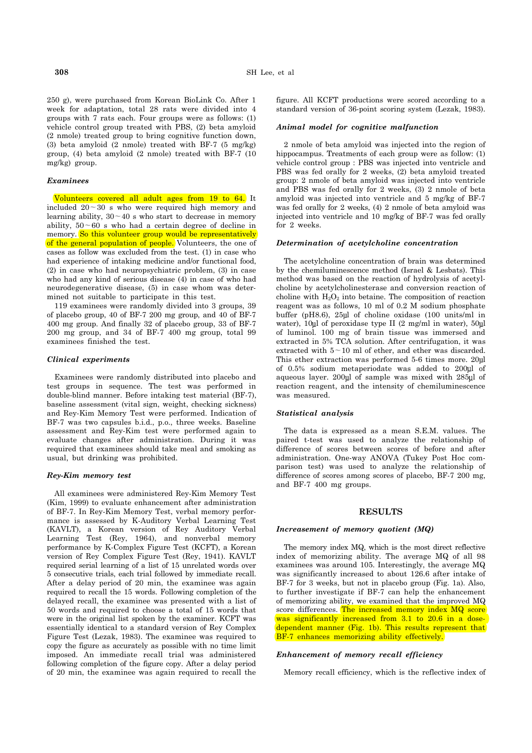250 g), were purchased from Korean BioLink Co. After 1 week for adaptation, total 28 rats were divided into 4 groups with 7 rats each. Four groups were as follows: (1) vehicle control group treated with PBS, (2) beta amyloid (2 nmole) treated group to bring cognitive function down, (3) beta amyloid (2 nmole) treated with BF-7 (5 mg/kg) group, (4) beta amyloid (2 nmole) treated with BF-7 (10 mg/kg) group.

# *Examinees*

 Volunteers covered all adult ages from 19 to 64. It included 20∼30 s who were required high memory and learning ability, 30∼40 s who start to decrease in memory ability, 50∼60 s who had a certain degree of decline in memory. So this volunteer group would be representatively of the general population of people. Volunteers, the one of cases as follow was excluded from the test. (1) in case who had experience of intaking medicine and/or functional food, (2) in case who had neuropsychiatric problem, (3) in case who had any kind of serious disease (4) in case of who had neurodegenerative disease, (5) in case whom was determined not suitable to participate in this test.

 119 examinees were randomly divided into 3 groups, 39 of placebo group, 40 of BF-7 200 mg group, and 40 of BF-7 400 mg group. And finally 32 of placebo group, 33 of BF-7 200 mg group, and 34 of BF-7 400 mg group, total 99 examinees finished the test.

## *Clinical experiments*

 Examinees were randomly distributed into placebo and test groups in sequence. The test was performed in double-blind manner. Before intaking test material (BF-7), baseline assessment (vital sign, weight, checking sickness) and Rey-Kim Memory Test were performed. Indication of BF-7 was two capsules b.i.d., p.o., three weeks. Baseline assessment and Rey-Kim test were performed again to evaluate changes after administration. During it was required that examinees should take meal and smoking as usual, but drinking was prohibited.

## *Rey-Kim memory test*

 All examinees were administered Rey-Kim Memory Test (Kim, 1999) to evaluate enhancement after administration of BF-7. In Rey-Kim Memory Test, verbal memory performance is assessed by K-Auditory Verbal Learning Test (KAVLT), a Korean version of Rey Auditory Verbal Learning Test (Rey, 1964), and nonverbal memory performance by K-Complex Figure Test (KCFT), a Korean version of Rey Complex Figure Test (Rey, 1941). KAVLT required serial learning of a list of 15 unrelated words over 5 consecutive trials, each trial followed by immediate recall. After a delay period of 20 min, the examinee was again required to recall the 15 words. Following completion of the delayed recall, the examinee was presented with a list of 50 words and required to choose a total of 15 words that were in the original list spoken by the examiner. KCFT was essentially identical to a standard version of Rey Complex Figure Test (Lezak, 1983). The examinee was required to copy the figure as accurately as possible with no time limit imposed. An immediate recall trial was administered following completion of the figure copy. After a delay period of 20 min, the examinee was again required to recall the figure. All KCFT productions were scored according to a standard version of 36-point scoring system (Lezak, 1983).

## *Animal model for cognitive malfunction*

 2 nmole of beta amyloid was injected into the region of hippocampus. Treatments of each group were as follow: (1) vehicle control group : PBS was injected into ventricle and PBS was fed orally for 2 weeks, (2) beta amyloid treated group: 2 nmole of beta amyloid was injected into ventricle and PBS was fed orally for 2 weeks, (3) 2 nmole of beta amyloid was injected into ventricle and 5 mg/kg of BF-7 was fed orally for 2 weeks, (4) 2 nmole of beta amyloid was injected into ventricle and 10 mg/kg of BF-7 was fed orally for 2 weeks.

#### *Determination of acetylcholine concentration*

 The acetylcholine concentration of brain was determined by the chemiluminescence method (Israel & Lesbats). This method was based on the reaction of hydrolysis of acetylcholine by acetylcholinesterase and conversion reaction of choline with  $H_2O_2$  into betaine. The composition of reaction reagent was as follows, 10 ml of 0.2 M sodium phosphate buffer (pH8.6), 25µl of choline oxidase (100 units/ml in water), 10 $\mu$ l of peroxidase type II (2 mg/ml in water), 50 $\mu$ l of luminol. 100 mg of brain tissue was immersed and extracted in 5% TCA solution. After centrifugation, it was extracted with 5∼10 ml of ether, and ether was discarded. This ether extraction was performed 5-6 times more. 20ul of 0.5% sodium metaperiodate was added to 200µl of aqueous layer. 200µl of sample was mixed with 285µl of reaction reagent, and the intensity of chemiluminescence was measured.

#### *Statistical analysis*

 The data is expressed as a mean S.E.M. values. The paired t-test was used to analyze the relationship of difference of scores between scores of before and after administration. One-way ANOVA (Tukey Post Hoc comparison test) was used to analyze the relationship of difference of scores among scores of placebo, BF-7 200 mg, and BF-7 400 mg groups.

## **RESULTS**

## *Increasement of memory quotient (MQ)*

 The memory index MQ, which is the most direct reflective index of memorizing ability. The average MQ of all 98 examinees was around 105. Interestingly, the average MQ was significantly increased to about 126.6 after intake of BF-7 for 3 weeks, but not in placebo group (Fig. 1a). Also, to further investigate if BF-7 can help the enhancement of memorizing ability, we examined that the improved MQ score differences. The increased memory index MQ score was significantly increased from 3.1 to 20.6 in a dosedependent manner (Fig. 1b). This results represent that BF-7 enhances memorizing ability effectively.

# *Enhancement of memory recall efficiency*

Memory recall efficiency, which is the reflective index of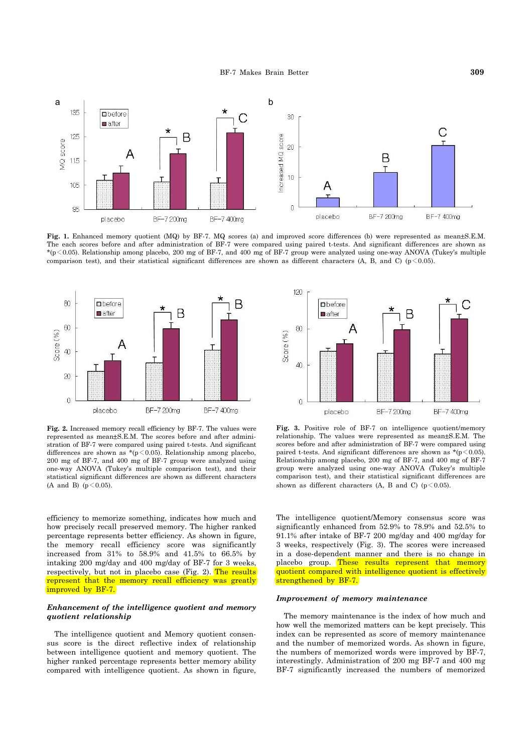

**Fig. 1.** Enhanced memory quotient (MQ) by BF-7. MQ scores (a) and improved score differences (b) were represented as mean±S.E.M. The each scores before and after administration of BF-7 were compared using paired t-tests. And significant differences are shown as  $*(p<0.05)$ . Relationship among placebo, 200 mg of BF-7, and 400 mg of BF-7 group were analyzed using one-way ANOVA (Tukey's multiple comparison test), and their statistical significant differences are shown as different characters (A, B, and C) ( $p < 0.05$ ).



**Fig. 2.** Increased memory recall efficiency by BF-7. The values were represented as mean±S.E.M. The scores before and after administration of BF-7 were compared using paired t-tests. And significant differences are shown as  $*(p \le 0.05)$ . Relationship among placebo, 200 mg of BF-7, and 400 mg of BF-7 group were analyzed using one-way ANOVA (Tukey's multiple comparison test), and their statistical significant differences are shown as different characters  $(A \text{ and } B)$   $(n \leq 0.05)$ .

efficiency to memorize something, indicates how much and how precisely recall preserved memory. The higher ranked percentage represents better efficiency. As shown in figure, the memory recall efficiency score was significantly increased from 31% to 58.9% and 41.5% to 66.5% by intaking 200 mg/day and 400 mg/day of BF-7 for 3 weeks, respectively, but not in placebo case (Fig. 2). The results represent that the memory recall efficiency was greatly improved by BF-7.

# *Enhancement of the intelligence quotient and memory quotient relationship*

 The intelligence quotient and Memory quotient consensus score is the direct reflective index of relationship between intelligence quotient and memory quotient. The higher ranked percentage represents better memory ability compared with intelligence quotient. As shown in figure,



**Fig. 3.** Positive role of BF-7 on intelligence quotient/memory relationship. The values were represented as mean±S.E.M. The scores before and after administration of BF-7 were compared using paired t-tests. And significant differences are shown as  $*(p \le 0.05)$ . Relationship among placebo, 200 mg of BF-7, and 400 mg of BF-7 group were analyzed using one-way ANOVA (Tukey's multiple comparison test), and their statistical significant differences are shown as different characters (A, B and C) ( $p \le 0.05$ ).

The intelligence quotient/Memory consensus score was significantly enhanced from 52.9% to 78.9% and 52.5% to 91.1% after intake of BF-7 200 mg/day and 400 mg/day for 3 weeks, respectively (Fig. 3). The scores were increased in a dose-dependent manner and there is no change in placebo group. These results represent that memory quotient compared with intelligence quotient is effectively strengthened by BF-7.

# *Improvement of memory maintenance*

 The memory maintenance is the index of how much and how well the memorized matters can be kept precisely. This index can be represented as score of memory maintenance and the number of memorized words. As shown in figure, the numbers of memorized words were improved by BF-7, interestingly. Administration of 200 mg BF-7 and 400 mg BF-7 significantly increased the numbers of memorized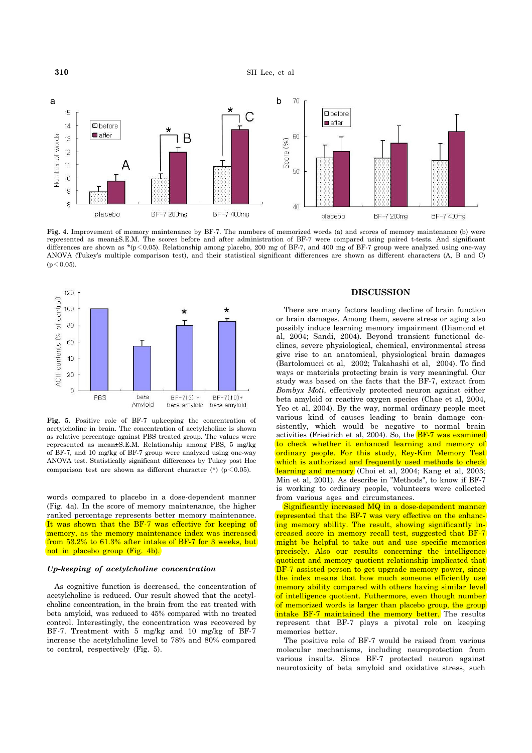**310** SH Lee, et al.



**Fig. 4.** Improvement of memory maintenance by BF-7. The numbers of memorized words (a) and scores of memory maintenance (b) were represented as mean±S.E.M. The scores before and after administration of BF-7 were compared using paired t-tests. And significant differences are shown as \*( $p$ <0.05). Relationship among placebo, 200 mg of BF-7, and 400 mg of BF-7 group were analyzed using one-way ANOVA (Tukey's multiple comparison test), and their statistical significant differences are shown as different characters (A, B and C)  $(n < 0.05)$ .



**Fig. 5.** Positive role of BF-7 upkeeping the concentration of acetylcholine in brain. The concentration of acetylcholine is shown as relative percentage against PBS treated group. The values were represented as mean±S.E.M. Relationship among PBS, 5 mg/kg of BF-7, and 10 mg/kg of BF-7 group were analyzed using one-way ANOVA test. Statistically significant differences by Tukey post Hoc comparison test are shown as different character (\*) ( $p \le 0.05$ ).

words compared to placebo in a dose-dependent manner (Fig. 4a). In the score of memory maintenance, the higher ranked percentage represents better memory maintenance. It was shown that the BF-7 was effective for keeping of memory, as the memory maintenance index was increased from 53.2% to 61.3% after intake of BF-7 for 3 weeks, but not in placebo group (Fig. 4b).

## *Up-keeping of acetylcholine concentration*

 As cognitive function is decreased, the concentration of acetylcholine is reduced. Our result showed that the acetylcholine concentration, in the brain from the rat treated with beta amyloid, was reduced to 45% compared with no treated control. Interestingly, the concentration was recovered by BF-7. Treatment with 5 mg/kg and 10 mg/kg of BF-7 increase the acetylcholine level to 78% and 80% compared to control, respectively (Fig. 5).

# **DISCUSSION**

 There are many factors leading decline of brain function or brain damages. Among them, severe stress or aging also possibly induce learning memory impairment (Diamond et al, 2004; Sandi, 2004). Beyond transient functional declines, severe physiological, chemical, environmental stress give rise to an anatomical, physiological brain damages (Bartolomucci et al, 2002; Takahashi et al, 2004). To find ways or materials protecting brain is very meaningful. Our study was based on the facts that the BF-7, extract from *Bombyx Moti*, effectively protected neuron against either beta amyloid or reactive oxygen species (Chae et al, 2004, Yeo et al, 2004). By the way, normal ordinary people meet various kind of causes leading to brain damage consistently, which would be negative to normal brain activities (Friedrich et al, 2004). So, the  $BF-7$  was examined to check whether it enhanced learning and memory of ordinary people. For this study, Rey-Kim Memory Test which is authorized and frequently used methods to check learning and memory (Choi et al, 2004; Kang et al, 2003; Min et al, 2001). As describe in "Methods", to know if BF-7 is working to ordinary people, volunteers were collected from various ages and circumstances.

 Significantly increased MQ in a dose-dependent manner represented that the BF-7 was very effective on the enhancing memory ability. The result, showing significantly increased score in memory recall test, suggested that BF-7 might be helpful to take out and use specific memories precisely. Also our results concerning the intelligence quotient and memory quotient relationship implicated that BF-7 assisted person to get upgrade memory power, since the index means that how much someone efficiently use memory ability compared with others having similar level of intelligence quotient. Futhermore, even though number of memorized words is larger than placebo group, the group intake BF-7 maintained the memory better. The results represent that BF-7 plays a pivotal role on keeping memories better.

 The positive role of BF-7 would be raised from various molecular mechanisms, including neuroprotection from various insults. Since BF-7 protected neuron against neurotoxicity of beta amyloid and oxidative stress, such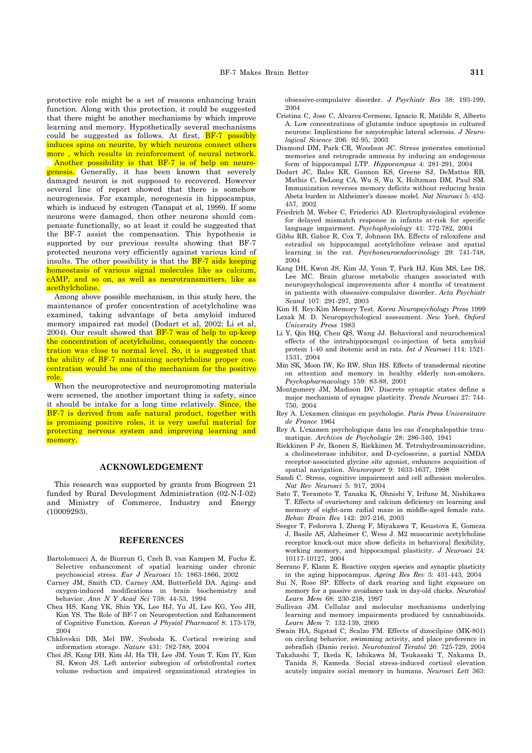protective role might be a set of reasons enhancing brain function. Along with this protection, it could be suggested that there might be another mechanisms by which improve learning and memory. Hypothetically several mechanisms could be suggested as follows. At first,  $BF-7$  possibly induces spins on neurite, by which neurons connect others more, which results in reinforcement of neural network.

 Another possibility is that BF-7 is of help on neurogenesis. Generally, it has been known that severely damaged neuron is not supposed to recovered. However several line of report showed that there is somehow neurogenesis. For example, nerogenesis in hippocampus, which is induced by estrogen (Tanapat et al, 1999). If some neurons were damaged, then other neurons should compensate functionally, so at least it could be suggested that the BF-7 assist the compensation. This hypothesis is supported by our previous results showing that BF-7 protected neurons very efficiently against various kind of insults. The other possibility is that the  $BF-7$  aids keeping homeostasis of various signal molecules like as calcium, cAMP, and so on, as well as neurotransmitters, like as acethylcholine.

 Among above possible mechanism, in this study here, the maintenance of profer concentration of acetylcholine was examined, taking advantage of beta amyloid induced memory impaired rat model (Dodart et al, 2002; Li et al, 2004). Our result showed that  $BF-7$  was of help to up-keep the concentration of acetylcholine, consequently the concentration was close to normal level. So, it is suggested that the ability of BF-7 maintaining acetylcholine proper concentration would be one of the mechanism for the positive role.

 When the neuroprotective and neuropromoting materials were screened, the another important thing is safety, since it should be intake for a long time relatively. Since, the BF-7 is derived from safe natural product, together with is promising positive roles, it is very useful material for protecting nervous system and improving learning and memory.

# **ACKNOWLEDGEMENT**

 This research was supported by grants from Biogreen 21 funded by Rural Development Administration (02-N-I-02) and Ministry of Commerce, Industry and Energy (10009293).

#### **REFERENCES**

- Bartolomucci A, de Biurrun G, Czeh B, van Kampen M, Fuchs E. Selective enhancement of spatial learning under chronic psychosocial stress. *Eur J Neurosci* 15: 1863-1866, 2002
- Carney JM, Smith CD, Carney AM, Butterfield DA. Aging- and oxygen-induced modifications in brain biochemistry and behavior. *Ann N Y Acad Sci* 738: 44-53, 1994
- Chea HS, Kang YK, Shin YK, Lee HJ, Yu JI, Lee KG, Yeo JH, Kim YS. The Role of BF-7 on Neuroprotection and Enhancement of Cognitive Function. *Korean J Physiol Pharmacol* 8: 173-179, 2004
- Chklovskii DB, Mel BW, Svoboda K. Cortical rewiring and information storage. *Nature* 431: 782-788, 2004
- Choi JS, Kang DH, Kim JJ, Ha TH, Lee JM, Youn T, Kim IY, Kim SI, Kwon JS. Left anterior subregion of orbitofrontal cortex volume reduction and impaired organizational strategies in

obsessive-compulsive disorder. *J Psychiatr Res* 38: 193-199, 2004

- Cristina C, Jose C, Alvarez-Cermeno, Ignacio R, Matilde S, Alberto A. Low concentrations of glutamte induce apoptosis in cultured neurons: Implications for amyotrophic lateral sclerosis. *J Neurological Science* 206: 92-95, 2003
- Diamond DM, Park CR, Woodson JC. Stress generates emotional memories and retrograde amnesia by inducing an endogenous form of hippocampal LTP. *Hippocampus* 4: 281-291, 2004
- Dodart JC, Bales KR, Gannon KS, Greene SJ, DeMattos RB, Mathis C, DeLong CA, Wu S, Wu X, Holtzman DM, Paul SM. Immunization reverses memory deficits without reducing brain Abeta burden in Alzheimer's disease model. *Nat Neurosci* 5: 452- 457, 2002
- Friedrich M, Weber C, Friederici AD. Electrophysiological evidence for delayed mismatch response in infants at-risk for specific language impairment. *Psychophysiology* 41: 772-782, 2004
- Gibbs RB, Gabor R, Cox T, Johnson DA. Effects of raloxifene and estradiol on hippocampal acetylcholine release and spatial learning in the rat. *Psychoneuroendocrinology* 29: 741-748, 2004
- Kang DH, Kwon JS, Kim JJ, Youn T, Park HJ, Kim MS, Lee DS, Lee MC. Brain glucose metabolic changes associated with neuropsychological improvements after 4 months of treatment in patients with obsessive-compulsive disorder. *Acta Psychiatr Scand* 107: 291-297, 2003
- Kim H. Rey-Kim Memory Test. *Korea Neuropsychology Press* 1999 Lezak M. D. Neuropsychological assessment. *New York. Oxford University Press* 1983
- Li Y, Qin HQ, Chen QS, Wang JJ. Behavioral and neurochemical effects of the intrahippocampal co-injection of beta amyloid protein 1-40 and ibotenic acid in rats. *Int J Neurosci* 114: 1521- 1531, 2004
- Min SK, Moon IW, Ko RW, Shin HS. Effects of transdermal nicotine on attention and memory in healthy elderly non-smokers. *Psychopharmacology* 159: 83-88, 2001
- Montgomery JM, Madison DV. Discrete synaptic states define a major mechanism of synapse plasticity. *Trends Neurosci* 27: 744- 750, 2004
- Rey A. L'examen clinique en psychologie. *Paris Press Universitaire de France* 1964
- Rey A. L'examen psychologique dans les cas d'encphalopathie traumatique. *Archives de Psychologie* 28: 286-340, 1941
- Riekkinen P Jr, Ikonen S, Riekkinen M. Tetrahydroaminoacridine, a cholinesterase inhibitor, and D-cycloserine, a partial NMDA receptor-associated glycine site agonist, enhances acquisition of spatial navigation. *Neuroreport* 9: 1633-1637, 1998
- Sandi C. Stress, cognitive impairment and cell adhesion molecules. *Nat Rev Neurosci* 5: 917, 2004
- Sato T, Teramoto T, Tanaka K, Ohnishi Y, Irifune M, Nishikawa T. Effects of ovariectomy and calcium deficiency on learning and memory of eight-arm radial maze in middle-aged female rats. *Behav Brain Res* 142: 207-216, 2003
- Seeger T, Fedorova I, Zheng F, Miyakawa T, Koustova E, Gomeza J, Basile AS, Alzheimer C, Wess J. M2 muscarinic acetylcholine receptor knock-out mice show deficits in behavioral flexibility, working memory, and hippocampal plasticity. *J Neurosci* 24: 10117-10127, 2004
- Serrano F, Klann E. Reactive oxygen species and synaptic plasticity in the aging hippocampus. *Ageing Res Rev* 3: 431-443, 2004
- Sui N, Rose SP. Effects of dark rearing and light exposure on memory for a passive avoidance task in day-old chicks. *Neurobiol Learn Mem* 68: 230-238, 1997
- Sullivan JM. Cellular and molecular mechanisms underlying learning and memory impairments produced by cannabinoids. *Learn Mem* 7: 132-139, 2000
- Swain HA, Sigstad C, Scalzo FM. Effects of dizocilpine (MK-801) on circling behavior, swimming activity, and place preference in zebrafish (Danio rerio). *Neurotoxicol Teratol* 26: 725-729, 2004
- Takahashi T, Ikeda K, Ishikawa M, Tsukasaki T, Nakama D, Tanida S, Kameda. Social stress-induced cortisol elevation acutely impairs social memory in humans. *Neurosci Lett* 363: